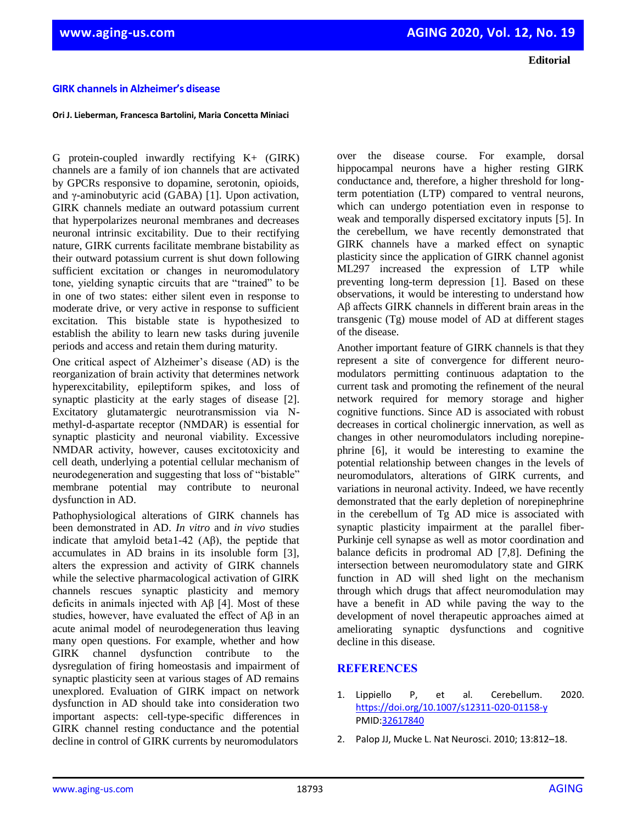**Editorial**

## **GIRK channels in Alzheimer's disease**

## **Ori J. Lieberman, Francesca Bartolini, Maria Concetta Miniaci**

G protein-coupled inwardly rectifying K+ (GIRK) channels are a family of ion channels that are activated by GPCRs responsive to dopamine, serotonin, opioids, and γ-aminobutyric acid (GABA) [1]. Upon activation, GIRK channels mediate an outward potassium current that hyperpolarizes neuronal membranes and decreases neuronal intrinsic excitability. Due to their rectifying nature, GIRK currents facilitate membrane bistability as their outward potassium current is shut down following sufficient excitation or changes in neuromodulatory tone, yielding synaptic circuits that are "trained" to be in one of two states: either silent even in response to moderate drive, or very active in response to sufficient excitation. This bistable state is hypothesized to establish the ability to learn new tasks during juvenile periods and access and retain them during maturity.

One critical aspect of Alzheimer's disease (AD) is the reorganization of brain activity that determines network hyperexcitability, epileptiform spikes, and loss of synaptic plasticity at the early stages of disease [2]. Excitatory glutamatergic neurotransmission via Nmethyl-d-aspartate receptor (NMDAR) is essential for synaptic plasticity and neuronal viability. Excessive NMDAR activity, however, causes excitotoxicity and cell death, underlying a potential cellular mechanism of neurodegeneration and suggesting that loss of "bistable" membrane potential may contribute to neuronal dysfunction in AD.

Pathophysiological alterations of GIRK channels has been demonstrated in AD. *In vitro* and *in vivo* studies indicate that amyloid beta1-42 (Aβ), the peptide that accumulates in AD brains in its insoluble form [3], alters the expression and activity of GIRK channels while the selective pharmacological activation of GIRK channels rescues synaptic plasticity and memory deficits in animals injected with Aβ [4]. Most of these studies, however, have evaluated the effect of Aβ in an acute animal model of neurodegeneration thus leaving many open questions. For example, whether and how GIRK channel dysfunction contribute to the dysregulation of firing homeostasis and impairment of synaptic plasticity seen at various stages of AD remains unexplored. Evaluation of GIRK impact on network dysfunction in AD should take into consideration two important aspects: cell-type-specific differences in GIRK channel resting conductance and the potential decline in control of GIRK currents by neuromodulators

over the disease course. For example, dorsal hippocampal neurons have a higher resting GIRK conductance and, therefore, a higher threshold for longterm potentiation (LTP) compared to ventral neurons, which can undergo potentiation even in response to weak and temporally dispersed excitatory inputs [5]. In the cerebellum, we have recently demonstrated that GIRK channels have a marked effect on synaptic plasticity since the application of GIRK channel agonist ML297 increased the expression of LTP while preventing long-term depression [1]. Based on these observations, it would be interesting to understand how Aβ affects GIRK channels in different brain areas in the transgenic (Tg) mouse model of AD at different stages of the disease.

Another important feature of GIRK channels is that they represent a site of convergence for different neuromodulators permitting continuous adaptation to the current task and promoting the refinement of the neural network required for memory storage and higher cognitive functions. Since AD is associated with robust decreases in cortical cholinergic innervation, as well as changes in other neuromodulators including norepinephrine [6], it would be interesting to examine the potential relationship between changes in the levels of neuromodulators, alterations of GIRK currents, and variations in neuronal activity. Indeed, we have recently demonstrated that the early depletion of norepinephrine in the cerebellum of Tg AD mice is associated with synaptic plasticity impairment at the parallel fiber-Purkinje cell synapse as well as motor coordination and balance deficits in prodromal AD [7,8]. Defining the intersection between neuromodulatory state and GIRK function in AD will shed light on the mechanism through which drugs that affect neuromodulation may have a benefit in AD while paving the way to the development of novel therapeutic approaches aimed at ameliorating synaptic dysfunctions and cognitive decline in this disease.

## **REFERENCES**

- 1. Lippiello P, et al. Cerebellum. 2020. <https://doi.org/10.1007/s12311-020-01158-y> PMID[:32617840](https://www.ncbi.nlm.nih.gov/entrez/query.fcgi?cmd=Retrieve&db=PubMed&list_uids=32617840&dopt=Abstract)
- 2. Palop JJ, Mucke L. Nat Neurosci. 2010; 13:812–18.